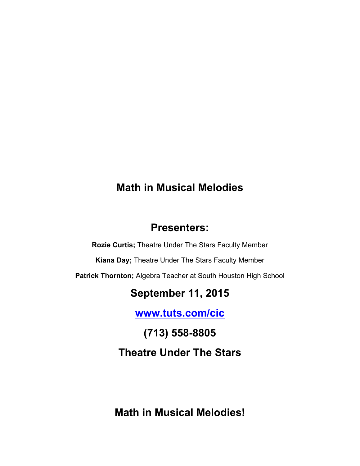# **Math in Musical Melodies**

# **Presenters:**

**Rozie Curtis;** Theatre Under The Stars Faculty Member

**Kiana Day;** Theatre Under The Stars Faculty Member

**Patrick Thornton;** Algebra Teacher at South Houston High School

# **September 11, 2015**

**www.tuts.com/cic**

**(713) 558-8805 Theatre Under The Stars**

**Math in Musical Melodies!**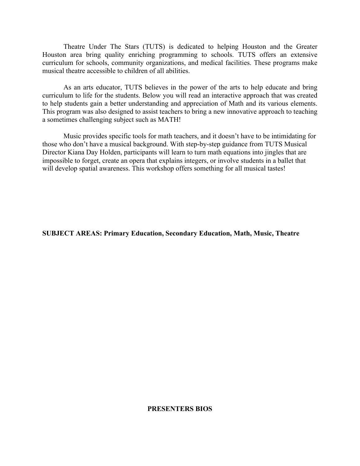Theatre Under The Stars (TUTS) is dedicated to helping Houston and the Greater Houston area bring quality enriching programming to schools. TUTS offers an extensive curriculum for schools, community organizations, and medical facilities. These programs make musical theatre accessible to children of all abilities.

As an arts educator, TUTS believes in the power of the arts to help educate and bring curriculum to life for the students. Below you will read an interactive approach that was created to help students gain a better understanding and appreciation of Math and its various elements. This program was also designed to assist teachers to bring a new innovative approach to teaching a sometimes challenging subject such as MATH!

Music provides specific tools for math teachers, and it doesn't have to be intimidating for those who don't have a musical background. With step-by-step guidance from TUTS Musical Director Kiana Day Holden, participants will learn to turn math equations into jingles that are impossible to forget, create an opera that explains integers, or involve students in a ballet that will develop spatial awareness. This workshop offers something for all musical tastes!

**SUBJECT AREAS: Primary Education, Secondary Education, Math, Music, Theatre**

#### **PRESENTERS BIOS**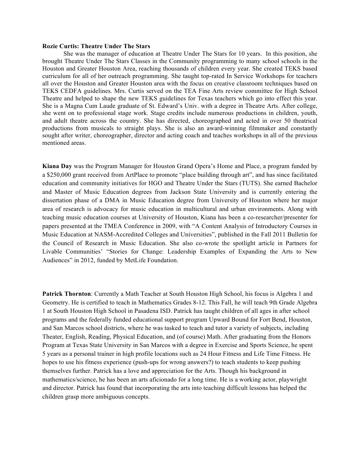#### **Rozie Curtis: Theatre Under The Stars**

She was the manager of education at Theatre Under The Stars for 10 years. In this position, she brought Theatre Under The Stars Classes in the Community programming to many school schools in the Houston and Greater Houston Area, reaching thousands of children every year. She created TEKS based curriculum for all of her outreach programming. She taught top-rated In Service Workshops for teachers all over the Houston and Greater Houston area with the focus on creative classroom techniques based on TEKS CEDFA guidelines. Mrs. Curtis served on the TEA Fine Arts review committee for High School Theatre and helped to shape the new TEKS guidelines for Texas teachers which go into effect this year. She is a Magna Cum Laude graduate of St. Edward's Univ. with a degree in Theatre Arts. After college, she went on to professional stage work. Stage credits include numerous productions in children, youth, and adult theatre across the country. She has directed, choreographed and acted in over 50 theatrical productions from musicals to straight plays. She is also an award-winning filmmaker and constantly sought after writer, choreographer, director and acting coach and teaches workshops in all of the previous mentioned areas.

**Kiana Day** was the Program Manager for Houston Grand Opera's Home and Place, a program funded by a \$250,000 grant received from ArtPlace to promote "place building through art", and has since facilitated education and community initiatives for HGO and Theatre Under the Stars (TUTS). She earned Bachelor and Master of Music Education degrees from Jackson State University and is currently entering the dissertation phase of a DMA in Music Education degree from University of Houston where her major area of research is advocacy for music education in multicultural and urban environments. Along with teaching music education courses at University of Houston, Kiana has been a co-researcher/presenter for papers presented at the TMEA Conference in 2009, with "A Content Analysis of Introductory Courses in Music Education at NASM-Accredited Colleges and Universities", published in the Fall 2011 Bulletin for the Council of Research in Music Education. She also co-wrote the spotlight article in Partners for Livable Communities' "Stories for Change: Leadership Examples of Expanding the Arts to New Audiences" in 2012, funded by MetLife Foundation.

**Patrick Thornton**: Currently a Math Teacher at South Houston High School, his focus is Algebra 1 and Geometry. He is certified to teach in Mathematics Grades 8-12. This Fall, he will teach 9th Grade Algebra 1 at South Houston High School in Pasadena ISD. Patrick has taught children of all ages in after school programs and the federally funded educational support program Upward Bound for Fort Bend, Houston, and San Marcos school districts, where he was tasked to teach and tutor a variety of subjects, including Theater, English, Reading, Physical Education, and (of course) Math. After graduating from the Honors Program at Texas State University in San Marcos with a degree in Exercise and Sports Science, he spent 5 years as a personal trainer in high profile locations such as 24 Hour Fitness and Life Time Fitness. He hopes to use his fitness experience (push-ups for wrong answers?) to teach students to keep pushing themselves further. Patrick has a love and appreciation for the Arts. Though his background in mathematics/science, he has been an arts aficionado for a long time. He is a working actor, playwright and director. Patrick has found that incorporating the arts into teaching difficult lessons has helped the children grasp more ambiguous concepts.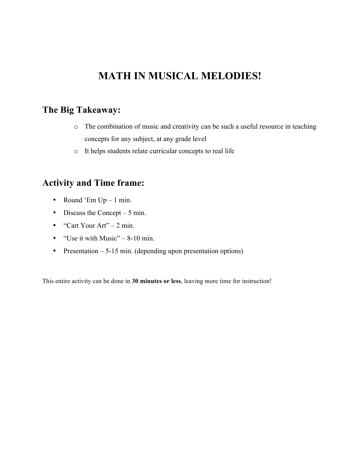# **MATH IN MUSICAL MELODIES!**

## **The Big Takeaway:**

- o The combination of music and creativity can be such a useful resource in teaching concepts for any subject, at any grade level
- o It helps students relate curricular concepts to real life

## **Activity and Time frame:**

- Round 'Em  $Up 1$  min.
- Discuss the Concept 5 min.
- "Cart Your Art"  $2 \text{ min.}$
- "Use it with Music"  $-8-10$  min.
- Presentation 5-15 min. (depending upon presentation options)

This entire activity can be done in **30 minutes or less**, leaving more time for instruction!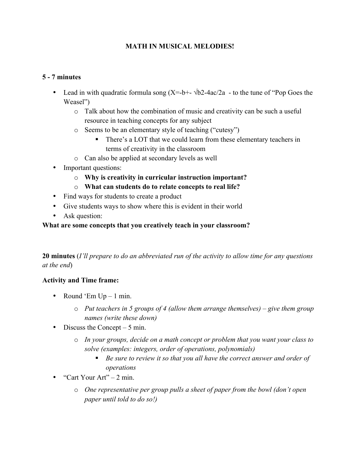## **MATH IN MUSICAL MELODIES!**

## **5 - 7 minutes**

- Lead in with quadratic formula song  $(X=-b^+-\sqrt{b^2-4ac/2a} -$  to the tune of "Pop Goes the Weasel")
	- o Talk about how the combination of music and creativity can be such a useful resource in teaching concepts for any subject
	- o Seems to be an elementary style of teaching ("cutesy")
		- There's a LOT that we could learn from these elementary teachers in terms of creativity in the classroom
	- o Can also be applied at secondary levels as well
- Important questions:
	- o **Why is creativity in curricular instruction important?**
	- o **What can students do to relate concepts to real life?**
- Find ways for students to create a product
- Give students ways to show where this is evident in their world
- Ask question:

## **What are some concepts that you creatively teach in your classroom?**

**20 minutes** (*I'll prepare to do an abbreviated run of the activity to allow time for any questions at the end*)

## **Activity and Time frame:**

- Round 'Em  $Up 1$  min.
	- o *Put teachers in 5 groups of 4 (allow them arrange themselves) – give them group names (write these down)*
- Discuss the Concept 5 min.
	- o *In your groups, decide on a math concept or problem that you want your class to solve (examples: integers, order of operations, polynomials)*
		- Be sure to review it so that you all have the correct answer and order of *operations*
- "Cart Your Art"  $2 \text{ min.}$ 
	- o *One representative per group pulls a sheet of paper from the bowl (don't open paper until told to do so!)*